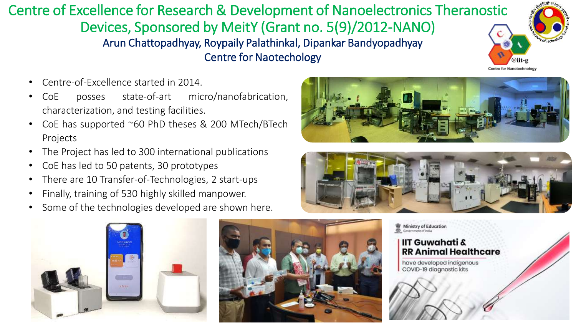Centre of Excellence for Research & Development of Nanoelectronics Theranostic Devices, Sponsored by MeitY (Grant no. 5(9)/2012-NANO) Arun Chattopadhyay, Roypaily Palathinkal, Dipankar Bandyopadhyay Centre for Naotechology

- Centre-of-Excellence started in 2014.
- CoE posses state-of-art micro/nanofabrication, characterization, and testing facilities.
- CoE has supported ~60 PhD theses & 200 MTech/BTech Projects
- The Project has led to 300 international publications
- CoE has led to 50 patents, 30 prototypes
- There are 10 Transfer-of-Technologies, 2 start-ups
- Finally, training of 530 highly skilled manpower.
- Some of the technologies developed are shown here.



Centre for Nanotechnology







Ministry of Education<br>Government of India

## **IIT Guwahati & RR Animal Healthcare**

have developed indigenous COVID-19 diagnostic kits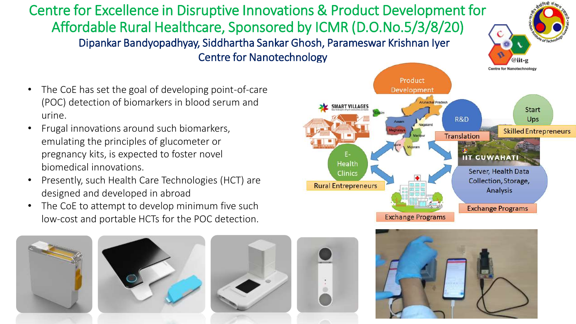## Centre for Excellence in Disruptive Innovations & Product Development for Affordable Rural Healthcare, Sponsored by ICMR (D.O.No.5/3/8/20) Dipankar Bandyopadhyay, Siddhartha Sankar Ghosh, Parameswar Krishnan Iyer Centre for Nanotechnology

- The CoE has set the goal of developing point-of-care (POC) detection of biomarkers in blood serum and urine.
- Frugal innovations around such biomarkers, emulating the principles of glucometer or pregnancy kits, is expected to foster novel biomedical innovations.
- Presently, such Health Care Technologies (HCT) are designed and developed in abroad
- The CoE to attempt to develop minimum five such low-cost and portable HCTs for the POC detection.











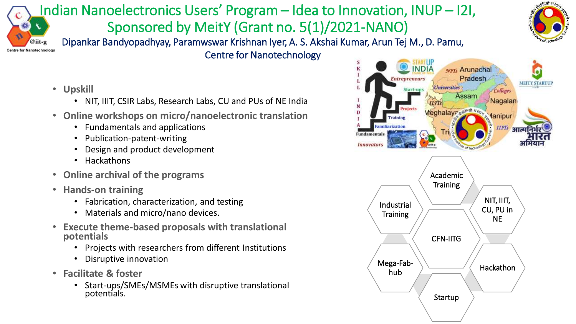## Indian Nanoelectronics Users' Program – Idea to Innovation, INUP – I2I, Sponsored by MeitY (Grant no. 5(1)/2021-NANO) @iit-g



ntre for Nanotechnology

Dipankar Bandyopadhyay, Paramwswar Krishnan Iyer, A. S. Akshai Kumar, Arun Tej M., D. Pamu,

Centre for Nanotechnology

- **Upskill** 
	- NIT, IIIT, CSIR Labs, Research Labs, CU and PUs of NE India
- **Online workshops on micro/nanoelectronic translation** 
	- Fundamentals and applications
	- Publication-patent-writing
	- Design and product development
	- **Hackathons**
- **Online archival of the programs**
- **Hands-on training**
	- Fabrication, characterization, and testing
	- Materials and micro/nano devices.
- **Execute theme-based proposals with translational potentials**
	- Projects with researchers from different Institutions
	- Disruptive innovation
- **Facilitate & foster**
	- Start-ups/SMEs/MSMEs with disruptive translational potentials.